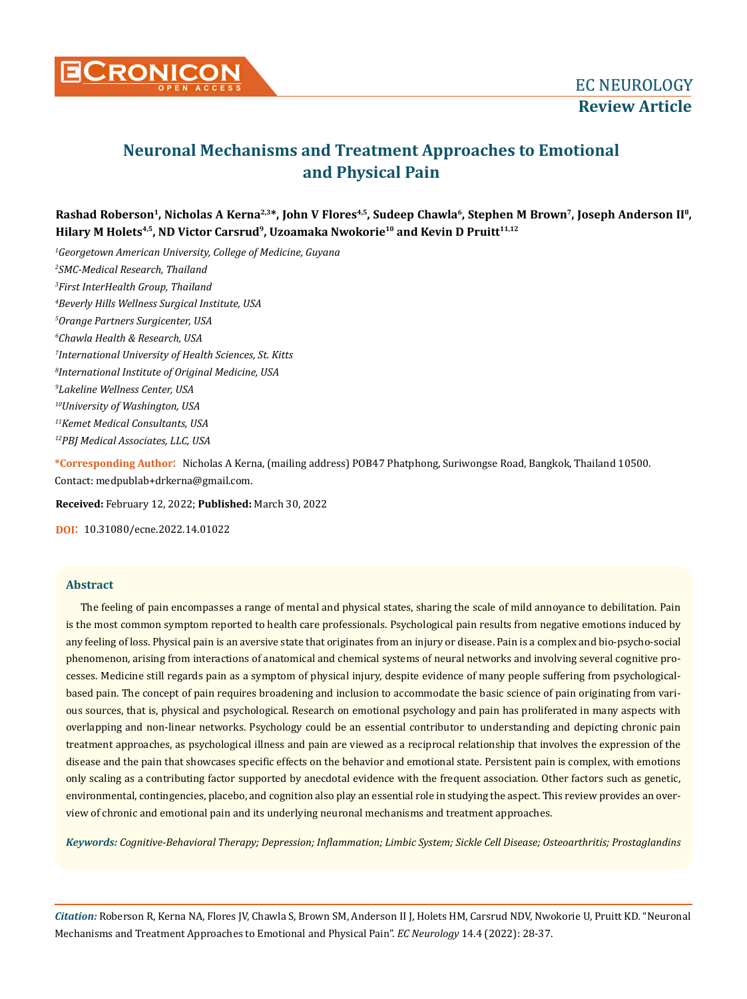

# **Neuronal Mechanisms and Treatment Approaches to Emotional and Physical Pain**

Rashad Roberson<sup>1</sup>, Nicholas A Kerna<sup>2,3\*</sup>, John V Flores<sup>4,5</sup>, Sudeep Chawla<sup>6</sup>, Stephen M Brown<sup>7</sup>, Joseph Anderson II<sup>8</sup>, **Hilary M Holets4,5, ND Victor Carsrud9, Uzoamaka Nwokorie10 and Kevin D Pruitt11,12**

 *Georgetown American University, College of Medicine, Guyana SMC-Medical Research, Thailand First InterHealth Group, Thailand Beverly Hills Wellness Surgical Institute, USA Orange Partners Surgicenter, USA Chawla Health & Research, USA International University of Health Sciences, St. Kitts International Institute of Original Medicine, USA Lakeline Wellness Center, USA 10University of Washington, USA 11Kemet Medical Consultants, USA 12PBJ Medical Associates, LLC, USA*

**\*Corresponding Author**: Nicholas A Kerna, (mailing address) POB47 Phatphong, Suriwongse Road, Bangkok, Thailand 10500. Contact: medpublab+drkerna@gmail.com.

**Received:** February 12, 2022; **Published:** March 30, 2022

**DOI**: 10.31080/ecne.2022.14.01022

## **Abstract**

The feeling of pain encompasses a range of mental and physical states, sharing the scale of mild annoyance to debilitation. Pain is the most common symptom reported to health care professionals. Psychological pain results from negative emotions induced by any feeling of loss. Physical pain is an aversive state that originates from an injury or disease. Pain is a complex and bio-psycho-social phenomenon, arising from interactions of anatomical and chemical systems of neural networks and involving several cognitive processes. Medicine still regards pain as a symptom of physical injury, despite evidence of many people suffering from psychologicalbased pain. The concept of pain requires broadening and inclusion to accommodate the basic science of pain originating from various sources, that is, physical and psychological. Research on emotional psychology and pain has proliferated in many aspects with overlapping and non-linear networks. Psychology could be an essential contributor to understanding and depicting chronic pain treatment approaches, as psychological illness and pain are viewed as a reciprocal relationship that involves the expression of the disease and the pain that showcases specific effects on the behavior and emotional state. Persistent pain is complex, with emotions only scaling as a contributing factor supported by anecdotal evidence with the frequent association. Other factors such as genetic, environmental, contingencies, placebo, and cognition also play an essential role in studying the aspect. This review provides an overview of chronic and emotional pain and its underlying neuronal mechanisms and treatment approaches.

*Keywords: Cognitive-Behavioral Therapy; Depression; Inflammation; Limbic System; Sickle Cell Disease; Osteoarthritis; Prostaglandins*

*Citation:* Roberson R, Kerna NA, Flores JV, Chawla S, Brown SM, Anderson II J, Holets HM, Carsrud NDV, Nwokorie U, Pruitt KD*.* "Neuronal Mechanisms and Treatment Approaches to Emotional and Physical Pain". *EC Neurology* 14.4 (2022): 28-37.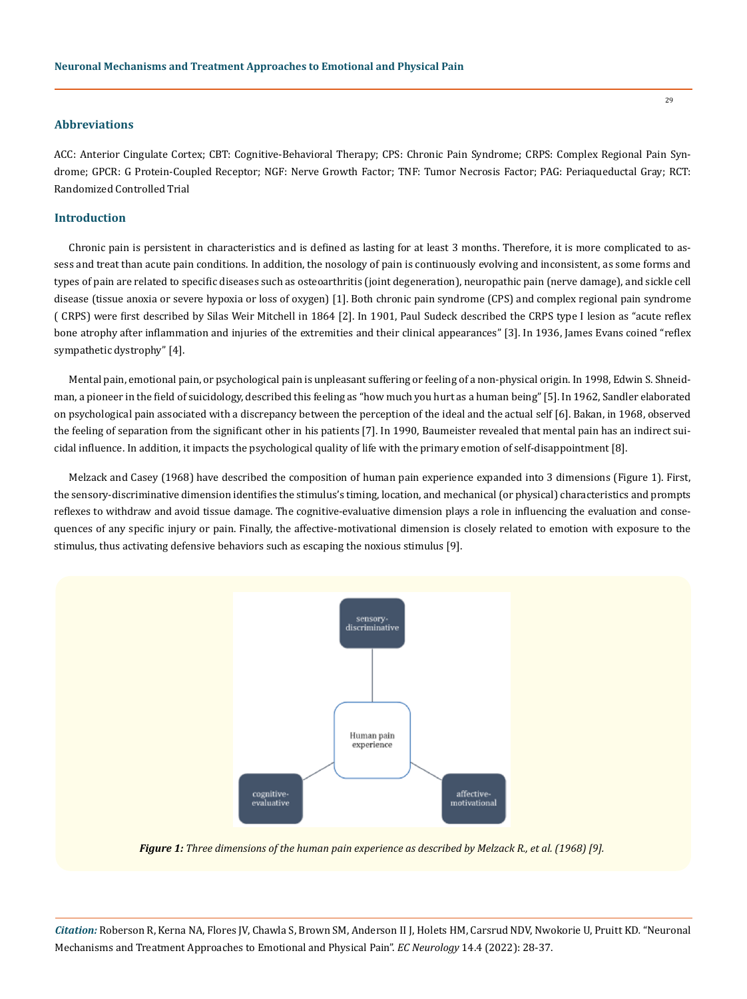# **Abbreviations**

ACC: Anterior Cingulate Cortex; CBT: Cognitive-Behavioral Therapy; CPS: Chronic Pain Syndrome; CRPS: Complex Regional Pain Syndrome; GPCR: G Protein-Coupled Receptor; NGF: Nerve Growth Factor; TNF: Tumor Necrosis Factor; PAG: Periaqueductal Gray; RCT: Randomized Controlled Trial

# **Introduction**

Chronic pain is persistent in characteristics and is defined as lasting for at least 3 months. Therefore, it is more complicated to assess and treat than acute pain conditions. In addition, the nosology of pain is continuously evolving and inconsistent, as some forms and types of pain are related to specific diseases such as osteoarthritis (joint degeneration), neuropathic pain (nerve damage), and sickle cell disease (tissue anoxia or severe hypoxia or loss of oxygen) [1]. Both chronic pain syndrome (CPS) and complex regional pain syndrome ( CRPS) were first described by Silas Weir Mitchell in 1864 [2]. In 1901, Paul Sudeck described the CRPS type I lesion as "acute reflex bone atrophy after inflammation and injuries of the extremities and their clinical appearances" [3]. In 1936, James Evans coined "reflex sympathetic dystrophy" [4].

Mental pain, emotional pain, or psychological pain is unpleasant suffering or feeling of a non-physical origin. In 1998, Edwin S. Shneidman, a pioneer in the field of suicidology, described this feeling as "how much you hurt as a human being" [5]. In 1962, Sandler elaborated on psychological pain associated with a discrepancy between the perception of the ideal and the actual self [6]. Bakan, in 1968, observed the feeling of separation from the significant other in his patients [7]. In 1990, Baumeister revealed that mental pain has an indirect suicidal influence. In addition, it impacts the psychological quality of life with the primary emotion of self-disappointment [8].

Melzack and Casey (1968) have described the composition of human pain experience expanded into 3 dimensions (Figure 1). First, the sensory-discriminative dimension identifies the stimulus's timing, location, and mechanical (or physical) characteristics and prompts reflexes to withdraw and avoid tissue damage. The cognitive-evaluative dimension plays a role in influencing the evaluation and consequences of any specific injury or pain. Finally, the affective-motivational dimension is closely related to emotion with exposure to the stimulus, thus activating defensive behaviors such as escaping the noxious stimulus [9].



*Figure 1: Three dimensions of the human pain experience as described by Melzack R., et al. (1968) [9].*

*Citation:* Roberson R, Kerna NA, Flores JV, Chawla S, Brown SM, Anderson II J, Holets HM, Carsrud NDV, Nwokorie U, Pruitt KD*.* "Neuronal Mechanisms and Treatment Approaches to Emotional and Physical Pain". *EC Neurology* 14.4 (2022): 28-37.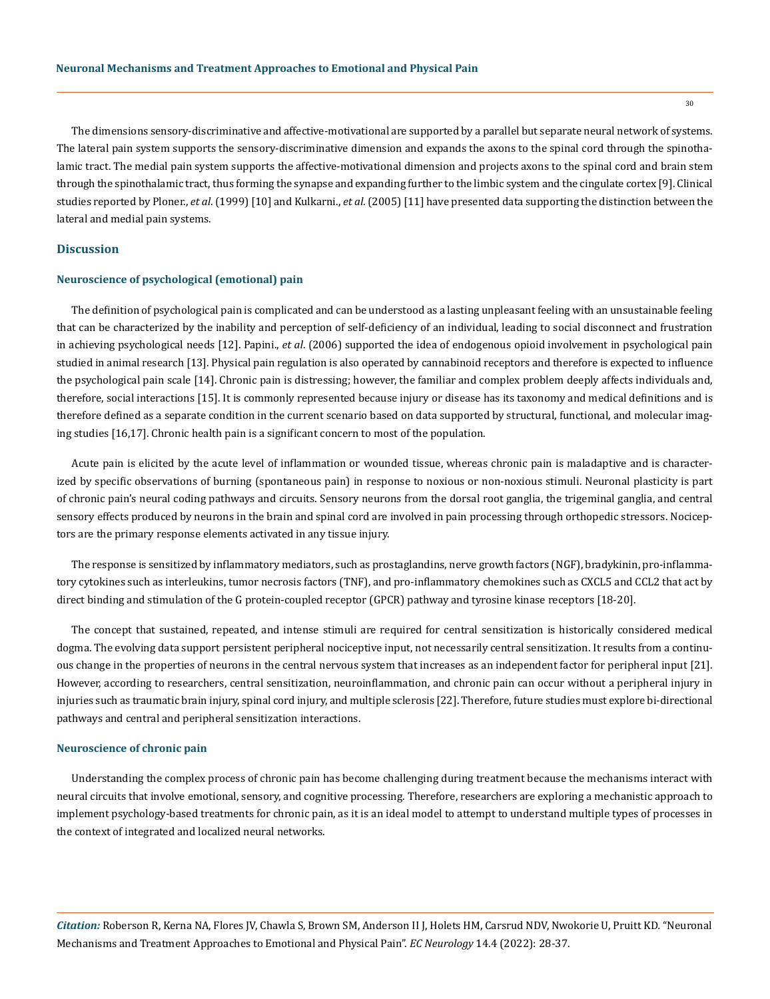The dimensions sensory-discriminative and affective-motivational are supported by a parallel but separate neural network of systems. The lateral pain system supports the sensory-discriminative dimension and expands the axons to the spinal cord through the spinothalamic tract. The medial pain system supports the affective-motivational dimension and projects axons to the spinal cord and brain stem

through the spinothalamic tract, thus forming the synapse and expanding further to the limbic system and the cingulate cortex [9]. Clinical studies reported by Ploner., *et al*. (1999) [10] and Kulkarni., *et al*. (2005) [11] have presented data supporting the distinction between the lateral and medial pain systems.

# **Discussion**

## **Neuroscience of psychological (emotional) pain**

The definition of psychological pain is complicated and can be understood as a lasting unpleasant feeling with an unsustainable feeling that can be characterized by the inability and perception of self-deficiency of an individual, leading to social disconnect and frustration in achieving psychological needs [12]. Papini., *et al*. (2006) supported the idea of endogenous opioid involvement in psychological pain studied in animal research [13]. Physical pain regulation is also operated by cannabinoid receptors and therefore is expected to influence the psychological pain scale [14]. Chronic pain is distressing; however, the familiar and complex problem deeply affects individuals and, therefore, social interactions [15]. It is commonly represented because injury or disease has its taxonomy and medical definitions and is therefore defined as a separate condition in the current scenario based on data supported by structural, functional, and molecular imaging studies [16,17]. Chronic health pain is a significant concern to most of the population.

Acute pain is elicited by the acute level of inflammation or wounded tissue, whereas chronic pain is maladaptive and is characterized by specific observations of burning (spontaneous pain) in response to noxious or non-noxious stimuli. Neuronal plasticity is part of chronic pain's neural coding pathways and circuits. Sensory neurons from the dorsal root ganglia, the trigeminal ganglia, and central sensory effects produced by neurons in the brain and spinal cord are involved in pain processing through orthopedic stressors. Nociceptors are the primary response elements activated in any tissue injury.

The response is sensitized by inflammatory mediators, such as prostaglandins, nerve growth factors (NGF), bradykinin, pro-inflammatory cytokines such as interleukins, tumor necrosis factors (TNF), and pro-inflammatory chemokines such as CXCL5 and CCL2 that act by direct binding and stimulation of the G protein-coupled receptor (GPCR) pathway and tyrosine kinase receptors [18-20].

The concept that sustained, repeated, and intense stimuli are required for central sensitization is historically considered medical dogma. The evolving data support persistent peripheral nociceptive input, not necessarily central sensitization. It results from a continuous change in the properties of neurons in the central nervous system that increases as an independent factor for peripheral input [21]. However, according to researchers, central sensitization, neuroinflammation, and chronic pain can occur without a peripheral injury in injuries such as traumatic brain injury, spinal cord injury, and multiple sclerosis [22]. Therefore, future studies must explore bi-directional pathways and central and peripheral sensitization interactions.

#### **Neuroscience of chronic pain**

Understanding the complex process of chronic pain has become challenging during treatment because the mechanisms interact with neural circuits that involve emotional, sensory, and cognitive processing. Therefore, researchers are exploring a mechanistic approach to implement psychology-based treatments for chronic pain, as it is an ideal model to attempt to understand multiple types of processes in the context of integrated and localized neural networks.

*Citation:* Roberson R, Kerna NA, Flores JV, Chawla S, Brown SM, Anderson II J, Holets HM, Carsrud NDV, Nwokorie U, Pruitt KD*.* "Neuronal Mechanisms and Treatment Approaches to Emotional and Physical Pain". *EC Neurology* 14.4 (2022): 28-37.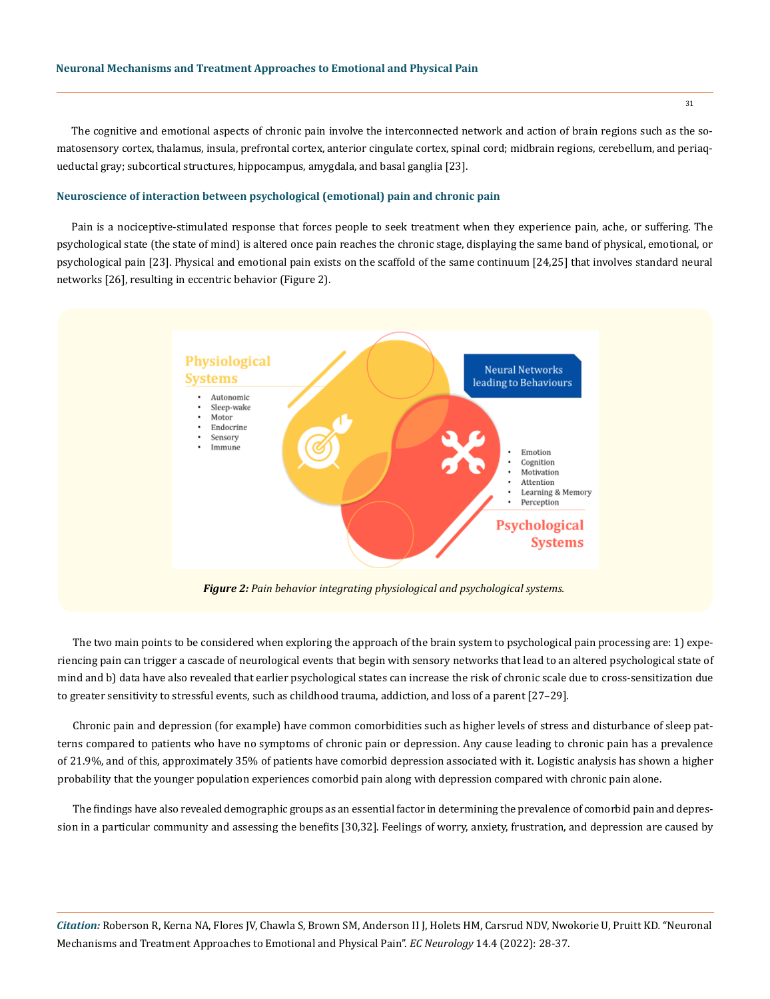The cognitive and emotional aspects of chronic pain involve the interconnected network and action of brain regions such as the somatosensory cortex, thalamus, insula, prefrontal cortex, anterior cingulate cortex, spinal cord; midbrain regions, cerebellum, and periaqueductal gray; subcortical structures, hippocampus, amygdala, and basal ganglia [23].

## **Neuroscience of interaction between psychological (emotional) pain and chronic pain**

Pain is a nociceptive-stimulated response that forces people to seek treatment when they experience pain, ache, or suffering. The psychological state (the state of mind) is altered once pain reaches the chronic stage, displaying the same band of physical, emotional, or psychological pain [23]. Physical and emotional pain exists on the scaffold of the same continuum [24,25] that involves standard neural networks [26], resulting in eccentric behavior (Figure 2).



*Figure 2: Pain behavior integrating physiological and psychological systems.*

The two main points to be considered when exploring the approach of the brain system to psychological pain processing are: 1) experiencing pain can trigger a cascade of neurological events that begin with sensory networks that lead to an altered psychological state of mind and b) data have also revealed that earlier psychological states can increase the risk of chronic scale due to cross-sensitization due to greater sensitivity to stressful events, such as childhood trauma, addiction, and loss of a parent [27–29].

Chronic pain and depression (for example) have common comorbidities such as higher levels of stress and disturbance of sleep patterns compared to patients who have no symptoms of chronic pain or depression. Any cause leading to chronic pain has a prevalence of 21.9%, and of this, approximately 35% of patients have comorbid depression associated with it. Logistic analysis has shown a higher probability that the younger population experiences comorbid pain along with depression compared with chronic pain alone.

The findings have also revealed demographic groups as an essential factor in determining the prevalence of comorbid pain and depression in a particular community and assessing the benefits [30,32]. Feelings of worry, anxiety, frustration, and depression are caused by

*Citation:* Roberson R, Kerna NA, Flores JV, Chawla S, Brown SM, Anderson II J, Holets HM, Carsrud NDV, Nwokorie U, Pruitt KD*.* "Neuronal Mechanisms and Treatment Approaches to Emotional and Physical Pain". *EC Neurology* 14.4 (2022): 28-37.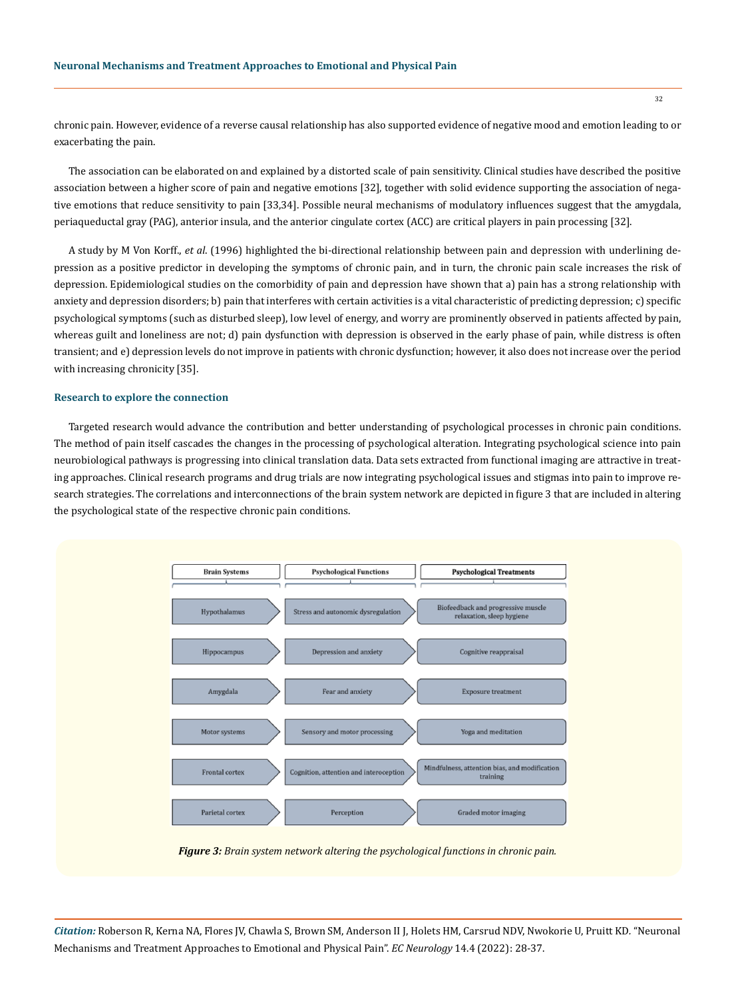chronic pain. However, evidence of a reverse causal relationship has also supported evidence of negative mood and emotion leading to or exacerbating the pain.

The association can be elaborated on and explained by a distorted scale of pain sensitivity. Clinical studies have described the positive association between a higher score of pain and negative emotions [32], together with solid evidence supporting the association of negative emotions that reduce sensitivity to pain [33,34]. Possible neural mechanisms of modulatory influences suggest that the amygdala, periaqueductal gray (PAG), anterior insula, and the anterior cingulate cortex (ACC) are critical players in pain processing [32].

A study by M Von Korff., *et al*. (1996) highlighted the bi-directional relationship between pain and depression with underlining depression as a positive predictor in developing the symptoms of chronic pain, and in turn, the chronic pain scale increases the risk of depression. Epidemiological studies on the comorbidity of pain and depression have shown that a) pain has a strong relationship with anxiety and depression disorders; b) pain that interferes with certain activities is a vital characteristic of predicting depression; c) specific psychological symptoms (such as disturbed sleep), low level of energy, and worry are prominently observed in patients affected by pain, whereas guilt and loneliness are not; d) pain dysfunction with depression is observed in the early phase of pain, while distress is often transient; and e) depression levels do not improve in patients with chronic dysfunction; however, it also does not increase over the period with increasing chronicity [35].

#### **Research to explore the connection**

Targeted research would advance the contribution and better understanding of psychological processes in chronic pain conditions. The method of pain itself cascades the changes in the processing of psychological alteration. Integrating psychological science into pain neurobiological pathways is progressing into clinical translation data. Data sets extracted from functional imaging are attractive in treating approaches. Clinical research programs and drug trials are now integrating psychological issues and stigmas into pain to improve research strategies. The correlations and interconnections of the brain system network are depicted in figure 3 that are included in altering the psychological state of the respective chronic pain conditions.



*Figure 3: Brain system network altering the psychological functions in chronic pain.*

*Citation:* Roberson R, Kerna NA, Flores JV, Chawla S, Brown SM, Anderson II J, Holets HM, Carsrud NDV, Nwokorie U, Pruitt KD*.* "Neuronal Mechanisms and Treatment Approaches to Emotional and Physical Pain". *EC Neurology* 14.4 (2022): 28-37.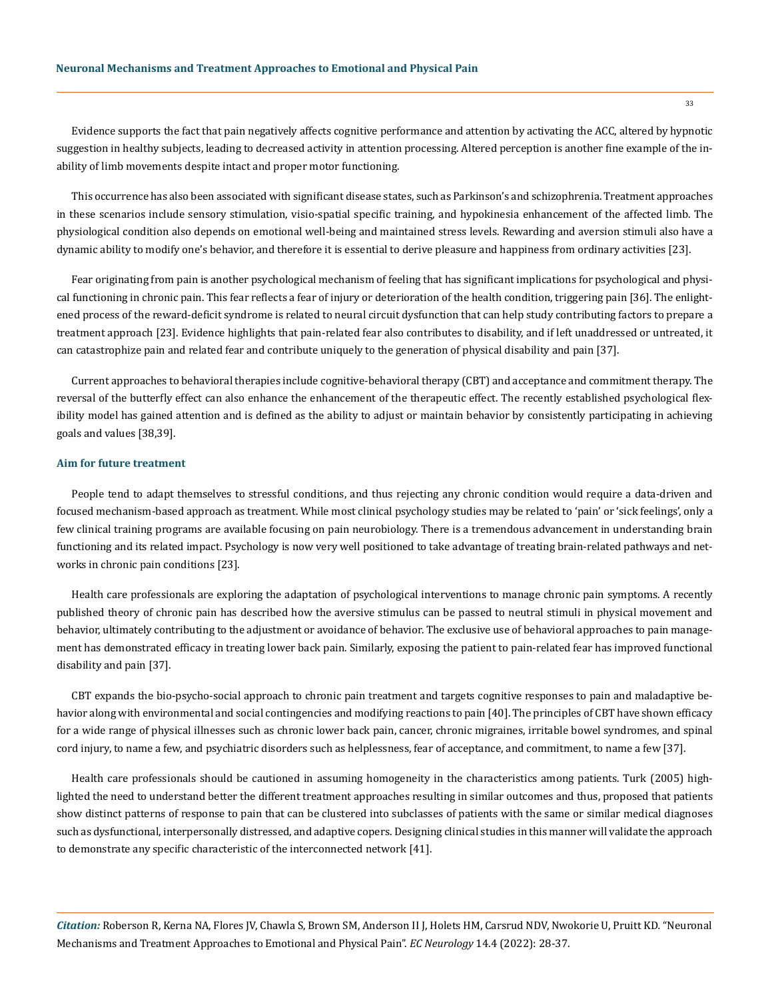Evidence supports the fact that pain negatively affects cognitive performance and attention by activating the ACC, altered by hypnotic suggestion in healthy subjects, leading to decreased activity in attention processing. Altered perception is another fine example of the inability of limb movements despite intact and proper motor functioning.

This occurrence has also been associated with significant disease states, such as Parkinson's and schizophrenia. Treatment approaches in these scenarios include sensory stimulation, visio-spatial specific training, and hypokinesia enhancement of the affected limb. The physiological condition also depends on emotional well-being and maintained stress levels. Rewarding and aversion stimuli also have a dynamic ability to modify one's behavior, and therefore it is essential to derive pleasure and happiness from ordinary activities [23].

Fear originating from pain is another psychological mechanism of feeling that has significant implications for psychological and physical functioning in chronic pain. This fear reflects a fear of injury or deterioration of the health condition, triggering pain [36]. The enlightened process of the reward-deficit syndrome is related to neural circuit dysfunction that can help study contributing factors to prepare a treatment approach [23]. Evidence highlights that pain-related fear also contributes to disability, and if left unaddressed or untreated, it can catastrophize pain and related fear and contribute uniquely to the generation of physical disability and pain [37].

Current approaches to behavioral therapies include cognitive-behavioral therapy (CBT) and acceptance and commitment therapy. The reversal of the butterfly effect can also enhance the enhancement of the therapeutic effect. The recently established psychological flexibility model has gained attention and is defined as the ability to adjust or maintain behavior by consistently participating in achieving goals and values [38,39].

## **Aim for future treatment**

People tend to adapt themselves to stressful conditions, and thus rejecting any chronic condition would require a data-driven and focused mechanism-based approach as treatment. While most clinical psychology studies may be related to 'pain' or 'sick feelings', only a few clinical training programs are available focusing on pain neurobiology. There is a tremendous advancement in understanding brain functioning and its related impact. Psychology is now very well positioned to take advantage of treating brain-related pathways and networks in chronic pain conditions [23].

Health care professionals are exploring the adaptation of psychological interventions to manage chronic pain symptoms. A recently published theory of chronic pain has described how the aversive stimulus can be passed to neutral stimuli in physical movement and behavior, ultimately contributing to the adjustment or avoidance of behavior. The exclusive use of behavioral approaches to pain management has demonstrated efficacy in treating lower back pain. Similarly, exposing the patient to pain-related fear has improved functional disability and pain [37].

CBT expands the bio-psycho-social approach to chronic pain treatment and targets cognitive responses to pain and maladaptive behavior along with environmental and social contingencies and modifying reactions to pain [40]. The principles of CBT have shown efficacy for a wide range of physical illnesses such as chronic lower back pain, cancer, chronic migraines, irritable bowel syndromes, and spinal cord injury, to name a few, and psychiatric disorders such as helplessness, fear of acceptance, and commitment, to name a few [37].

Health care professionals should be cautioned in assuming homogeneity in the characteristics among patients. Turk (2005) highlighted the need to understand better the different treatment approaches resulting in similar outcomes and thus, proposed that patients show distinct patterns of response to pain that can be clustered into subclasses of patients with the same or similar medical diagnoses such as dysfunctional, interpersonally distressed, and adaptive copers. Designing clinical studies in this manner will validate the approach to demonstrate any specific characteristic of the interconnected network [41].

*Citation:* Roberson R, Kerna NA, Flores JV, Chawla S, Brown SM, Anderson II J, Holets HM, Carsrud NDV, Nwokorie U, Pruitt KD*.* "Neuronal Mechanisms and Treatment Approaches to Emotional and Physical Pain". *EC Neurology* 14.4 (2022): 28-37.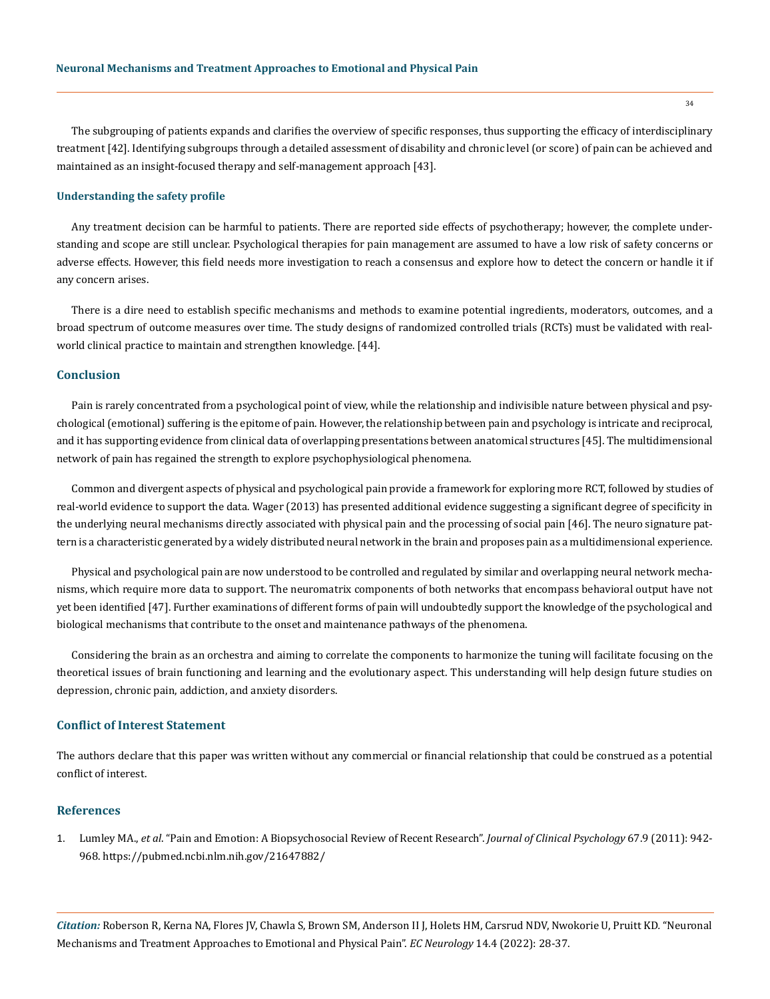The subgrouping of patients expands and clarifies the overview of specific responses, thus supporting the efficacy of interdisciplinary treatment [42]. Identifying subgroups through a detailed assessment of disability and chronic level (or score) of pain can be achieved and maintained as an insight-focused therapy and self-management approach [43].

## **Understanding the safety profile**

Any treatment decision can be harmful to patients. There are reported side effects of psychotherapy; however, the complete understanding and scope are still unclear. Psychological therapies for pain management are assumed to have a low risk of safety concerns or adverse effects. However, this field needs more investigation to reach a consensus and explore how to detect the concern or handle it if any concern arises.

There is a dire need to establish specific mechanisms and methods to examine potential ingredients, moderators, outcomes, and a broad spectrum of outcome measures over time. The study designs of randomized controlled trials (RCTs) must be validated with realworld clinical practice to maintain and strengthen knowledge. [44].

## **Conclusion**

Pain is rarely concentrated from a psychological point of view, while the relationship and indivisible nature between physical and psychological (emotional) suffering is the epitome of pain. However, the relationship between pain and psychology is intricate and reciprocal, and it has supporting evidence from clinical data of overlapping presentations between anatomical structures [45]. The multidimensional network of pain has regained the strength to explore psychophysiological phenomena.

Common and divergent aspects of physical and psychological pain provide a framework for exploring more RCT, followed by studies of real-world evidence to support the data. Wager (2013) has presented additional evidence suggesting a significant degree of specificity in the underlying neural mechanisms directly associated with physical pain and the processing of social pain [46]. The neuro signature pattern is a characteristic generated by a widely distributed neural network in the brain and proposes pain as a multidimensional experience.

Physical and psychological pain are now understood to be controlled and regulated by similar and overlapping neural network mechanisms, which require more data to support. The neuromatrix components of both networks that encompass behavioral output have not yet been identified [47]. Further examinations of different forms of pain will undoubtedly support the knowledge of the psychological and biological mechanisms that contribute to the onset and maintenance pathways of the phenomena.

Considering the brain as an orchestra and aiming to correlate the components to harmonize the tuning will facilitate focusing on the theoretical issues of brain functioning and learning and the evolutionary aspect. This understanding will help design future studies on depression, chronic pain, addiction, and anxiety disorders.

# **Conflict of Interest Statement**

The authors declare that this paper was written without any commercial or financial relationship that could be construed as a potential conflict of interest.

# **References**

1. Lumley MA., *et al*[. "Pain and Emotion: A Biopsychosocial Review of Recent Research".](file:///D:/Ecronicon/ECCY/ECCY-22-RW-110/Lumley MA., et al. \“Pain and Emotion: A Biopsychosocial Review of Recent Research\”. Journal of Clinical Psychology 67.9 (2011): 942-968.) *Journal of Clinical Psychology* 67.9 (2011): 942- [968.](file:///D:/Ecronicon/ECCY/ECCY-22-RW-110/Lumley MA., et al. \“Pain and Emotion: A Biopsychosocial Review of Recent Research\”. Journal of Clinical Psychology 67.9 (2011): 942-968.) https://pubmed.ncbi.nlm.nih.gov/21647882/

*Citation:* Roberson R, Kerna NA, Flores JV, Chawla S, Brown SM, Anderson II J, Holets HM, Carsrud NDV, Nwokorie U, Pruitt KD*.* "Neuronal Mechanisms and Treatment Approaches to Emotional and Physical Pain". *EC Neurology* 14.4 (2022): 28-37.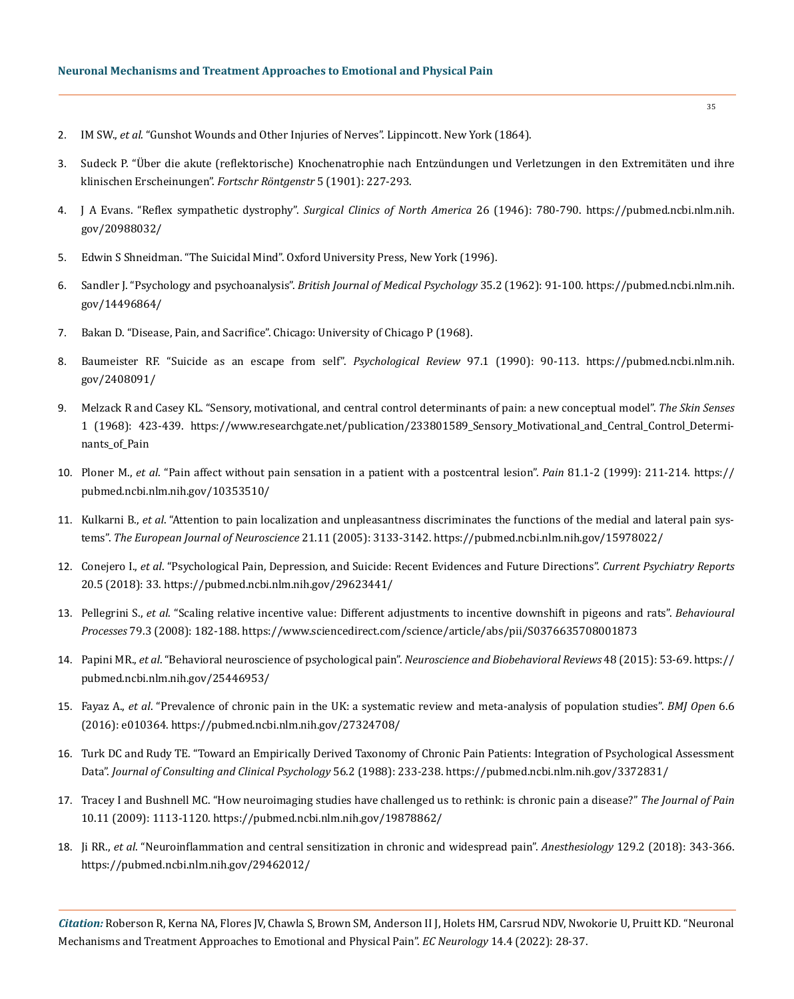- 2. IM SW., *et al*. "Gunshot Wounds and Other Injuries of Nerves". Lippincott. New York (1864).
- 3. Sudeck P. "Über die akute (reflektorische) Knochenatrophie nach Entzündungen und Verletzungen in den Extremitäten und ihre klinischen Erscheinungen". *Fortschr Röntgenstr* 5 (1901): 227-293.
- 4. [J A Evans. "Reflex sympathetic dystrophy".](https://pubmed.ncbi.nlm.nih.gov/20988032/) *Surgical Clinics of North America* 26 (1946): 780-790. https://pubmed.ncbi.nlm.nih. gov/20988032/
- 5. Edwin S Shneidman. "The Suicidal Mind". Oxford University Press, New York (1996).
- 6. [Sandler J. "Psychology and psychoanalysis".](https://pubmed.ncbi.nlm.nih.gov/14496864/) *British Journal of Medical Psychology* 35.2 (1962): 91-100. https://pubmed.ncbi.nlm.nih. gov/14496864/
- 7. Bakan D. "Disease, Pain, and Sacrifice". Chicago: University of Chicago P (1968).
- 8. [Baumeister RF. "Suicide as an escape from self".](https://pubmed.ncbi.nlm.nih.gov/2408091/) *Psychological Review* 97.1 (1990): 90-113. https://pubmed.ncbi.nlm.nih. gov/2408091/
- 9. [Melzack R and Casey KL. "Sensory, motivational, and central control determinants of pain: a new conceptual model".](https://www.researchgate.net/publication/233801589_Sensory_Motivational_and_Central_Control_Determinants_of_Pain) *The Skin Senses* [1 \(1968\): 423-439.](https://www.researchgate.net/publication/233801589_Sensory_Motivational_and_Central_Control_Determinants_of_Pain) https://www.researchgate.net/publication/233801589\_Sensory\_Motivational\_and\_Central\_Control\_Determinants of Pain
- 10. Ploner M., *et al*[. "Pain affect without pain sensation in a patient with a postcentral lesion".](https://pubmed.ncbi.nlm.nih.gov/10353510/) *Pain* 81.1-2 (1999): 211-214. https:// pubmed.ncbi.nlm.nih.gov/10353510/
- 11. Kulkarni B., *et al*[. "Attention to pain localization and unpleasantness discriminates the functions of the medial and lateral pain sys](https://pubmed.ncbi.nlm.nih.gov/15978022/)tems". *[The European Journal of Neuroscience](https://pubmed.ncbi.nlm.nih.gov/15978022/)* 21.11 (2005): 3133-3142. https://pubmed.ncbi.nlm.nih.gov/15978022/
- 12. Conejero I., *et al*[. "Psychological Pain, Depression, and Suicide: Recent Evidences and Future Directions".](file:///D:/Ecronicon/ECCY/ECCY-22-RW-110/Conejero%20I.,%20et%20al.%20“Psychological%20Pain,%20Depression,%20and%20Suicide:%20Recent%20Evidences%20and%20Future%20Directions”.%20Current%20Psychiatry%20Reports%2020.5%20(2018):%2033.) *Current Psychiatry Reports* [20.5 \(2018\): 33.](file:///D:/Ecronicon/ECCY/ECCY-22-RW-110/Conejero%20I.,%20et%20al.%20“Psychological%20Pain,%20Depression,%20and%20Suicide:%20Recent%20Evidences%20and%20Future%20Directions”.%20Current%20Psychiatry%20Reports%2020.5%20(2018):%2033.) https://pubmed.ncbi.nlm.nih.gov/29623441/
- 13. Pellegrini S., *et al*[. "Scaling relative incentive value: Different adjustments to incentive downshift in pigeons and rats".](https://www.sciencedirect.com/science/article/abs/pii/S0376635708001873) *Behavioural Processes* [79.3 \(2008\): 182-188.](https://www.sciencedirect.com/science/article/abs/pii/S0376635708001873) https://www.sciencedirect.com/science/article/abs/pii/S0376635708001873
- 14. Papini MR., *et al*[. "Behavioral neuroscience of psychological pain".](https://pubmed.ncbi.nlm.nih.gov/25446953/) *Neuroscience and Biobehavioral Reviews* 48 (2015): 53-69. https:// pubmed.ncbi.nlm.nih.gov/25446953/
- 15. Fayaz A., *et al*[. "Prevalence of chronic pain in the UK: a systematic review and meta-analysis of population studies".](file:///D:/Ecronicon/ECCY/ECCY-22-RW-110/Fayaz%20A.,%20et%20al.%20“Prevalence%20of%20chronic%20pain%20in%20the%20UK:%20a%20systematic%20review%20and%20meta-analysis%20of%20population%20studies”.%20BMJ%20Open%206.6%20(2016):%20e010364.) *BMJ Open* 6.6 [\(2016\): e010364.](file:///D:/Ecronicon/ECCY/ECCY-22-RW-110/Fayaz%20A.,%20et%20al.%20“Prevalence%20of%20chronic%20pain%20in%20the%20UK:%20a%20systematic%20review%20and%20meta-analysis%20of%20population%20studies”.%20BMJ%20Open%206.6%20(2016):%20e010364.) https://pubmed.ncbi.nlm.nih.gov/27324708/
- 16. [Turk DC and Rudy TE. "Toward an Empirically Derived Taxonomy of Chronic Pain Patients: Integration of Psychological Assessment](https://pubmed.ncbi.nlm.nih.gov/3372831/) Data". *[Journal of Consulting and Clinical Psychology](https://pubmed.ncbi.nlm.nih.gov/3372831/)* 56.2 (1988): 233-238. https://pubmed.ncbi.nlm.nih.gov/3372831/
- 17. [Tracey I and Bushnell MC. "How neuroimaging studies have challenged us to rethink: is chronic pain a disease?"](https://pubmed.ncbi.nlm.nih.gov/19878862/) *The Journal of Pain* [10.11 \(2009\): 1113-1120.](https://pubmed.ncbi.nlm.nih.gov/19878862/) https://pubmed.ncbi.nlm.nih.gov/19878862/
- 18. Ji RR., *et al*[. "Neuroinflammation and central sensitization in chronic and widespread pain".](file:///D:/Ecronicon/ECCY/ECCY-22-RW-110/Ji%20RR.,%20et%20al.%20“Neuroinflammation%20and%20central%20sensitization%20in%20chronic%20and%20widespread%20pain”.%20Anesthesiology%20129.2%20(2018):%20343-366.) *Anesthesiology* 129.2 (2018): 343-366. https://pubmed.ncbi.nlm.nih.gov/29462012/

*Citation:* Roberson R, Kerna NA, Flores JV, Chawla S, Brown SM, Anderson II J, Holets HM, Carsrud NDV, Nwokorie U, Pruitt KD*.* "Neuronal Mechanisms and Treatment Approaches to Emotional and Physical Pain". *EC Neurology* 14.4 (2022): 28-37.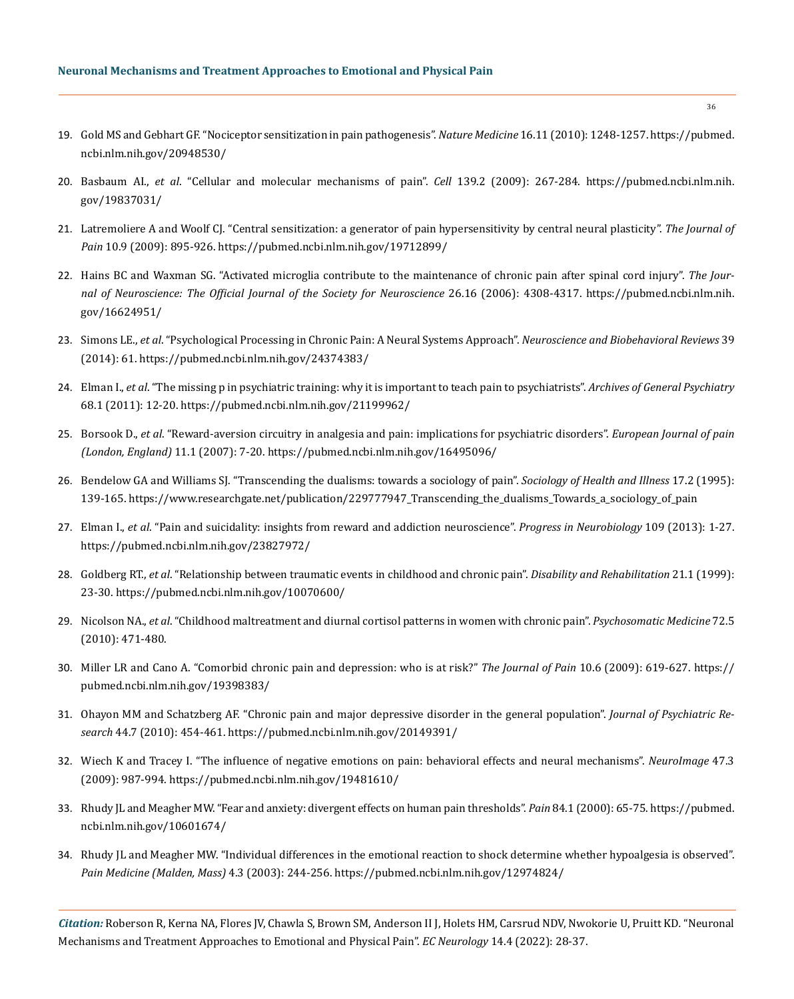- 19. [Gold MS and Gebhart GF. "Nociceptor sensitization in pain pathogenesis".](https://pubmed.ncbi.nlm.nih.gov/20948530/) *Nature Medicine* 16.11 (2010): 1248-1257. https://pubmed. ncbi.nlm.nih.gov/20948530/
- 20. Basbaum AI., *et al*[. "Cellular and molecular mechanisms of pain".](https://pubmed.ncbi.nlm.nih.gov/19837031/) *Cell* 139.2 (2009): 267-284. https://pubmed.ncbi.nlm.nih. gov/19837031/
- 21. [Latremoliere A and Woolf CJ. "Central sensitization: a generator of pain hypersensitivity by central neural plasticity".](https://pubmed.ncbi.nlm.nih.gov/19712899/) *The Journal of Pain* [10.9 \(2009\): 895-926.](https://pubmed.ncbi.nlm.nih.gov/19712899/) https://pubmed.ncbi.nlm.nih.gov/19712899/
- 22. [Hains BC and Waxman SG. "Activated microglia contribute to the maintenance of chronic pain after spinal cord injury".](https://pubmed.ncbi.nlm.nih.gov/16624951/) *The Jour[nal of Neuroscience: The Official Journal of the Society for Neuroscience](https://pubmed.ncbi.nlm.nih.gov/16624951/)* 26.16 (2006): 4308-4317. https://pubmed.ncbi.nlm.nih. gov/16624951/
- 23. Simons LE., *et al*[. "Psychological Processing in Chronic Pain: A Neural Systems Approach".](file:///D:/Ecronicon/ECCY/ECCY-22-RW-110/Simons%20LE.,%20et%20al.%20“Psychological%20Processing%20in%20Chronic%20Pain:%20A%20Neural%20Systems%20Approach”.%20Neuroscience%20and%20Biobehavioral%20Reviews%2039%20(2014):%2061.) *Neuroscience and Biobehavioral Reviews* 39 [\(2014\): 61.](file:///D:/Ecronicon/ECCY/ECCY-22-RW-110/Simons%20LE.,%20et%20al.%20“Psychological%20Processing%20in%20Chronic%20Pain:%20A%20Neural%20Systems%20Approach”.%20Neuroscience%20and%20Biobehavioral%20Reviews%2039%20(2014):%2061.) https://pubmed.ncbi.nlm.nih.gov/24374383/
- 24. Elman I., *et al*[. "The missing p in psychiatric training: why it is important to teach pain to psychiatrists".](https://pubmed.ncbi.nlm.nih.gov/21199962/) *Archives of General Psychiatry* [68.1 \(2011\): 12-20.](https://pubmed.ncbi.nlm.nih.gov/21199962/) https://pubmed.ncbi.nlm.nih.gov/21199962/
- 25. Borsook D., *et al*[. "Reward-aversion circuitry in analgesia and pain: implications for psychiatric disorders".](file:///D:/Ecronicon/ECCY/ECCY-22-RW-110/Borsook%20D.,%20et%20al.%20“Reward-aversion%20circuitry%20in%20analgesia%20and%20pain:%20implications%20for%20psychiatric%20disorders”.%20European%20Journal%20of%20pain%20(London,%20England)%2011.1%20(2007):%207-20.) *European Journal of pain [\(London, England\)](file:///D:/Ecronicon/ECCY/ECCY-22-RW-110/Borsook%20D.,%20et%20al.%20“Reward-aversion%20circuitry%20in%20analgesia%20and%20pain:%20implications%20for%20psychiatric%20disorders”.%20European%20Journal%20of%20pain%20(London,%20England)%2011.1%20(2007):%207-20.)* 11.1 (2007): 7-20. https://pubmed.ncbi.nlm.nih.gov/16495096/
- 26. [Bendelow GA and Williams SJ. "Transcending the dualisms: towards a sociology of pain".](https://www.researchgate.net/publication/229777947_Transcending_the_dualisms_Towards_a_sociology_of_pain) *Sociology of Health and Illness* 17.2 (1995): [139-165.](https://www.researchgate.net/publication/229777947_Transcending_the_dualisms_Towards_a_sociology_of_pain) https://www.researchgate.net/publication/229777947\_Transcending\_the\_dualisms\_Towards\_a\_sociology\_of\_pain
- 27. Elman I., *et al*[. "Pain and suicidality: insights from reward and addiction neuroscience".](https://pubmed.ncbi.nlm.nih.gov/23827972/) *Progress in Neurobiology* 109 (2013): 1-27. https://pubmed.ncbi.nlm.nih.gov/23827972/
- 28. Goldberg RT., *et al*[. "Relationship between traumatic events in childhood and chronic pain".](https://pubmed.ncbi.nlm.nih.gov/10070600/) *Disability and Rehabilitation* 21.1 (1999): [23-30.](https://pubmed.ncbi.nlm.nih.gov/10070600/) https://pubmed.ncbi.nlm.nih.gov/10070600/
- 29. Nicolson NA., *et al*[. "Childhood maltreatment and diurnal cortisol patterns in women with chronic pain".](https://pubmed.ncbi.nlm.nih.gov/20467005/) *Psychosomatic Medicine* 72.5 [\(2010\): 471-480.](https://pubmed.ncbi.nlm.nih.gov/20467005/)
- 30. [Miller LR and Cano A. "Comorbid chronic pain and depression: who is at risk?"](https://pubmed.ncbi.nlm.nih.gov/19398383/) *The Journal of Pain* 10.6 (2009): 619-627. https:// pubmed.ncbi.nlm.nih.gov/19398383/
- 31. [Ohayon MM and Schatzberg AF. "Chronic pain and major depressive disorder in the general population".](https://pubmed.ncbi.nlm.nih.gov/20149391/) *Journal of Psychiatric Research* [44.7 \(2010\): 454-461.](https://pubmed.ncbi.nlm.nih.gov/20149391/) https://pubmed.ncbi.nlm.nih.gov/20149391/
- 32. [Wiech K and Tracey I. "The influence of negative emotions on pain: behavioral effects and neural mechanisms".](https://pubmed.ncbi.nlm.nih.gov/19481610/) *NeuroImage* 47.3 [\(2009\): 987-994.](https://pubmed.ncbi.nlm.nih.gov/19481610/) https://pubmed.ncbi.nlm.nih.gov/19481610/
- 33. [Rhudy JL and Meagher MW. "Fear and anxiety: divergent effects on human pain thresholds".](https://pubmed.ncbi.nlm.nih.gov/10601674/) *Pain* 84.1 (2000): 65-75. https://pubmed. ncbi.nlm.nih.gov/10601674/
- 34. [Rhudy JL and Meagher MW. "Individual differences in the emotional reaction to shock determine whether hypoalgesia is observed".](https://pubmed.ncbi.nlm.nih.gov/12974824/) *[Pain Medicine \(Malden, Mass\)](https://pubmed.ncbi.nlm.nih.gov/12974824/)* 4.3 (2003): 244-256. https://pubmed.ncbi.nlm.nih.gov/12974824/

*Citation:* Roberson R, Kerna NA, Flores JV, Chawla S, Brown SM, Anderson II J, Holets HM, Carsrud NDV, Nwokorie U, Pruitt KD*.* "Neuronal Mechanisms and Treatment Approaches to Emotional and Physical Pain". *EC Neurology* 14.4 (2022): 28-37.